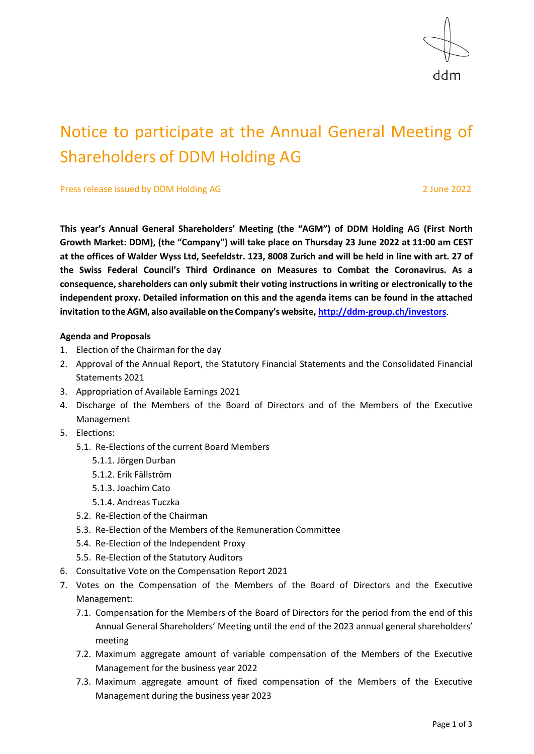

# Notice to participate at the Annual General Meeting of Shareholders of DDM Holding AG

Press release issued by DDM Holding AG 2 3 June 2022

**This year's Annual General Shareholders' Meeting (the "AGM") of DDM Holding AG (First North Growth Market: DDM), (the "Company") will take place on Thursday 23 June 2022 at 11:00 am CEST at the offices of Walder Wyss Ltd, Seefeldstr. 123, 8008 Zurich and will be held in line with art. 27 of the Swiss Federal Council's Third Ordinance on Measures to Combat the Coronavirus. As a consequence, shareholders can only submit their voting instructions in writing or electronically to the independent proxy. Detailed information on this and the agenda items can be found in the attached invitation to the AGM, also available on the Company's website, [http://ddm-group.ch/investors.](http://ddm-group.ch/investors)**

#### **Agenda and Proposals**

- 1. Election of the Chairman for the day
- 2. Approval of the Annual Report, the Statutory Financial Statements and the Consolidated Financial Statements 2021
- 3. Appropriation of Available Earnings 2021
- 4. Discharge of the Members of the Board of Directors and of the Members of the Executive Management
- 5. Elections:
	- 5.1. Re-Elections of the current Board Members
		- 5.1.1. Jörgen Durban
		- 5.1.2. Erik Fällström
		- 5.1.3. Joachim Cato
		- 5.1.4. Andreas Tuczka
	- 5.2. Re-Election of the Chairman
	- 5.3. Re-Election of the Members of the Remuneration Committee
	- 5.4. Re-Election of the Independent Proxy
	- 5.5. Re-Election of the Statutory Auditors
- 6. Consultative Vote on the Compensation Report 2021
- 7. Votes on the Compensation of the Members of the Board of Directors and the Executive Management:
	- 7.1. Compensation for the Members of the Board of Directors for the period from the end of this Annual General Shareholders' Meeting until the end of the 2023 annual general shareholders' meeting
	- 7.2. Maximum aggregate amount of variable compensation of the Members of the Executive Management for the business year 2022
	- 7.3. Maximum aggregate amount of fixed compensation of the Members of the Executive Management during the business year 2023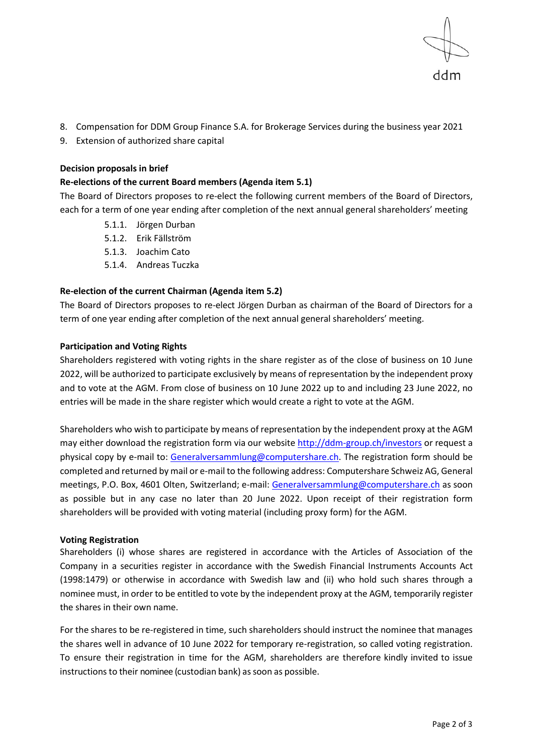

- 8. Compensation for DDM Group Finance S.A. for Brokerage Services during the business year 2021
- 9. Extension of authorized share capital

#### **Decision proposals in brief**

#### **Re-elections of the current Board members (Agenda item 5.1)**

The Board of Directors proposes to re-elect the following current members of the Board of Directors, each for a term of one year ending after completion of the next annual general shareholders' meeting

- 5.1.1. Jörgen Durban
- 5.1.2. Erik Fällström
- 5.1.3. Joachim Cato
- 5.1.4. Andreas Tuczka

## **Re-election of the current Chairman (Agenda item 5.2)**

The Board of Directors proposes to re-elect Jörgen Durban as chairman of the Board of Directors for a term of one year ending after completion of the next annual general shareholders' meeting.

#### **Participation and Voting Rights**

Shareholders registered with voting rights in the share register as of the close of business on 10 June 2022, will be authorized to participate exclusively by means of representation by the independent proxy and to vote at the AGM. From close of business on 10 June 2022 up to and including 23 June 2022, no entries will be made in the share register which would create a right to vote at the AGM.

Shareholders who wish to participate by means of representation by the independent proxy at the AGM may either download the registration form via our website<http://ddm-group.ch/investors> or request a physical copy by e-mail to: [Generalversammlung@computershare.ch.](mailto:Generalversammlung@computershare.ch) The registration form should be completed and returned by mail or e-mail to the following address: Computershare Schweiz AG, General meetings, P.O. Box, 4601 Olten, Switzerland; e-mail: [Generalversammlung@computershare.ch](mailto:Generalversammlung@computershare.ch) as soon as possible but in any case no later than 20 June 2022. Upon receipt of their registration form shareholders will be provided with voting material (including proxy form) for the AGM.

## **Voting Registration**

Shareholders (i) whose shares are registered in accordance with the Articles of Association of the Company in a securities register in accordance with the Swedish Financial Instruments Accounts Act (1998:1479) or otherwise in accordance with Swedish law and (ii) who hold such shares through a nominee must, in order to be entitled to vote by the independent proxy at the AGM, temporarily register the shares in their own name.

For the shares to be re-registered in time, such shareholders should instruct the nominee that manages the shares well in advance of 10 June 2022 for temporary re-registration, so called voting registration. To ensure their registration in time for the AGM, shareholders are therefore kindly invited to issue instructions to their nominee (custodian bank) as soon as possible.